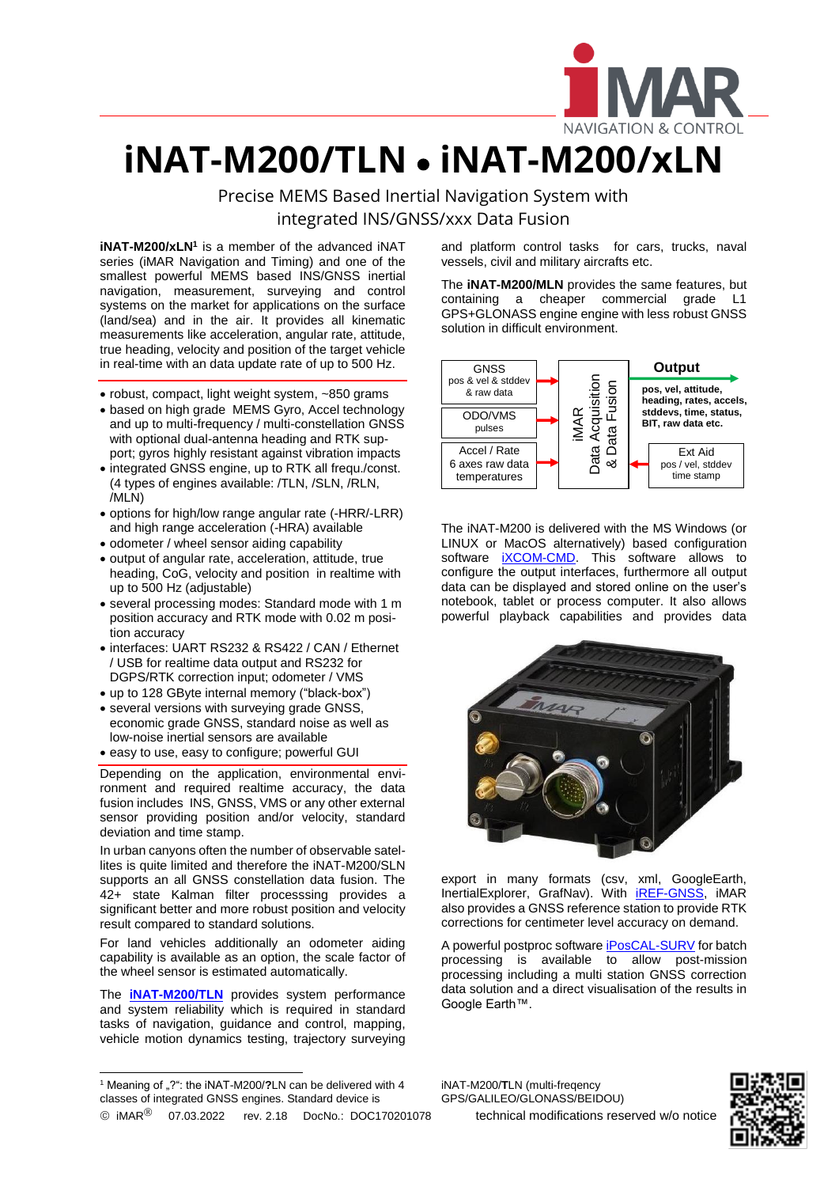

## **iNAT-M200/TLN** • **iNAT-M200/xLN**

Precise MEMS Based Inertial Navigation System with integrated INS/GNSS/xxx Data Fusion

**iNAT-M200/xLN<sup>1</sup>** is a member of the advanced iNAT series (iMAR Navigation and Timing) and one of the smallest powerful MEMS based INS/GNSS inertial navigation, measurement, surveying and control systems on the market for applications on the surface (land/sea) and in the air. It provides all kinematic measurements like acceleration, angular rate, attitude, true heading, velocity and position of the target vehicle in real-time with an data update rate of up to 500 Hz.

- robust, compact, light weight system, ~850 grams
- based on high grade MEMS Gyro, Accel technology and up to multi-frequency / multi-constellation GNSS with optional dual-antenna heading and RTK support; gyros highly resistant against vibration impacts
- integrated GNSS engine, up to RTK all frequ./const. (4 types of engines available: /TLN, /SLN, /RLN, /MLN)
- options for high/low range angular rate (-HRR/-LRR) and high range acceleration (-HRA) available
- odometer / wheel sensor aiding capability
- output of angular rate, acceleration, attitude, true heading, CoG, velocity and position in realtime with up to 500 Hz (adjustable)
- several processing modes: Standard mode with 1 m position accuracy and RTK mode with 0.02 m position accuracy
- interfaces: UART RS232 & RS422 / CAN / Ethernet / USB for realtime data output and RS232 for DGPS/RTK correction input; odometer / VMS
- up to 128 GByte internal memory ("black-box")
- several versions with surveying grade GNSS, economic grade GNSS, standard noise as well as low-noise inertial sensors are available
- easy to use, easy to configure; powerful GUI

Depending on the application, environmental environment and required realtime accuracy, the data fusion includes INS, GNSS, VMS or any other external sensor providing position and/or velocity, standard deviation and time stamp.

In urban canyons often the number of observable satellites is quite limited and therefore the iNAT-M200/SLN supports an all GNSS constellation data fusion. The 42+ state Kalman filter processsing provides a significant better and more robust position and velocity result compared to standard solutions.

For land vehicles additionally an odometer aiding capability is available as an option, the scale factor of the wheel sensor is estimated automatically.

The **[iNAT-M200/TLN](https://www.imar-navigation.de/en/products/by-product-names/item/inat-m200-advanced-mems-based-navigation-surveying-control-system)** provides system performance and system reliability which is required in standard tasks of navigation, guidance and control, mapping, vehicle motion dynamics testing, trajectory surveying

 $\overline{a}$ 

and platform control tasks for cars, trucks, naval vessels, civil and military aircrafts etc.

L

The **iNAT-M200/MLN** provides the same features, but containing a cheaper commercial grade L1 GPS+GLONASS engine engine with less robust GNSS solution in difficult environment.



The iNAT-M200 is delivered with the MS Windows (or LINUX or MacOS alternatively) based configuration software *iXCOM-CMD*. This software allows to configure the output interfaces, furthermore all output data can be displayed and stored online on the user's notebook, tablet or process computer. It also allows powerful playback capabilities and provides data



export in many formats (csv, xml, GoogleEarth, InertialExplorer, GrafNav). With **IREF-GNSS**, IMAR also provides a GNSS reference station to provide RTK corrections for centimeter level accuracy on demand.

A powerful postproc softwar[e iPosCAL-SURV](https://www.imar-navigation.de/de/produkte-uebersicht/product-overview-by-product/item/iposcal-post-processing-software-for-ins-gnss-odo-data?category_id=292) for batch processing is available to allow post-mission processing including a multi station GNSS correction data solution and a direct visualisation of the results in Google Earth™.

iNAT-M200/**T**LN (multi-freqency GPS/GALILEO/GLONASS/BEIDOU)



<sup>&</sup>lt;sup>1</sup> Meaning of "?": the iNAT-M200/?LN can be delivered with 4 classes of integrated GNSS engines. Standard device is

<sup>©</sup> iMAR<sup>®</sup> 07.03.2022 rev. 2.18 DocNo.: DOC170201078 technical modifications reserved w/o notice